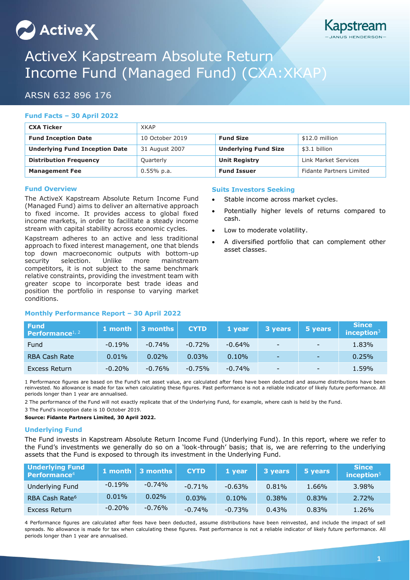# $\sim$  Active $\chi$



# ActiveX Kapstream Absolute Return Income Fund (Managed Fund) (CXA:XKAP)

# ARSN 632 896 176

# **Fund Facts – 30 April 2022**

| <b>CXA Ticker</b>                     | <b>XKAP</b>     |                             |                                 |  |
|---------------------------------------|-----------------|-----------------------------|---------------------------------|--|
| <b>Fund Inception Date</b>            | 10 October 2019 | <b>Fund Size</b>            | \$12.0 million                  |  |
| <b>Underlying Fund Inception Date</b> | 31 August 2007  | <b>Underlying Fund Size</b> | \$3.1 billion                   |  |
| <b>Distribution Frequency</b>         | Quarterly       | <b>Unit Registry</b>        | Link Market Services            |  |
| <b>Management Fee</b>                 | $0.55\%$ p.a.   | <b>Fund Issuer</b>          | <b>Fidante Partners Limited</b> |  |

### **Fund Overview**

The ActiveX Kapstream Absolute Return Income Fund (Managed Fund) aims to deliver an alternative approach to fixed income. It provides access to global fixed income markets, in order to facilitate a steady income stream with capital stability across economic cycles.

Kapstream adheres to an active and less traditional approach to fixed interest management, one that blends top down macroeconomic outputs with bottom-up security selection. Unlike more mainstream competitors, it is not subject to the same benchmark relative constraints, providing the investment team with greater scope to incorporate best trade ideas and position the portfolio in response to varying market conditions.

# **Monthly Performance Report – 30 April 2022**

## **Suits Investors Seeking**

- Stable income across market cycles.
- Potentially higher levels of returns compared to cash.
- Low to moderate volatility.
- A diversified portfolio that can complement other asset classes.

| <b>Fund</b><br><b>Performance</b> <sup>1, 2</sup> |          | 1 month $\vert$ 3 months $\vert$ | <b>CYTD</b> | 1 year    | 3 years                  | 5 years                  | <b>Since</b><br>inception $3$ |
|---------------------------------------------------|----------|----------------------------------|-------------|-----------|--------------------------|--------------------------|-------------------------------|
| Fund                                              | $-0.19%$ | $-0.74\%$                        | $-0.72%$    | $-0.64\%$ | $\overline{\phantom{0}}$ | $\overline{\phantom{0}}$ | 1.83%                         |
| <b>RBA Cash Rate</b>                              | 0.01%    | 0.02%                            | 0.03%       | 0.10%     | ۰.                       | $\overline{\phantom{a}}$ | 0.25%                         |
| Excess Return                                     | $-0.20%$ | $-0.76%$                         | $-0.75%$    | $-0.74%$  | $\overline{\phantom{a}}$ | $\overline{\phantom{a}}$ | 1.59%                         |

1 Performance figures are based on the Fund's net asset value, are calculated after fees have been deducted and assume distributions have been reinvested. No allowance is made for tax when calculating these figures. Past performance is not a reliable indicator of likely future performance. All periods longer than 1 year are annualised.

2 The performance of the Fund will not exactly replicate that of the Underlying Fund, for example, where cash is held by the Fund.

3 The Fund's inception date is 10 October 2019.

**Source: Fidante Partners Limited, 30 April 2022.**

## **Underlying Fund**

The Fund invests in Kapstream Absolute Return Income Fund (Underlying Fund). In this report, where we refer to the Fund's investments we generally do so on a 'look-through' basis; that is, we are referring to the underlying assets that the Fund is exposed to through its investment in the Underlying Fund.

| <b>Underlying Fund</b><br>Performance <sup>4</sup> |           | 1 month $\vert$ 3 months | <b>CYTD</b> | 1 year   | 3 years | 5 years | <b>Since</b><br>inception $5$ |
|----------------------------------------------------|-----------|--------------------------|-------------|----------|---------|---------|-------------------------------|
| Underlying Fund                                    | $-0.19%$  | $-0.74%$                 | $-0.71%$    | $-0.63%$ | 0.81%   | 1.66%   | 3.98%                         |
| RBA Cash Rate <sup>6</sup>                         | 0.01%     | $0.02\%$                 | 0.03%       | 0.10%    | 0.38%   | 0.83%   | 2.72%                         |
| Excess Return                                      | $-0.20\%$ | $-0.76\%$                | $-0.74%$    | $-0.73%$ | 0.43%   | 0.83%   | 1.26%                         |

4 Performance figures are calculated after fees have been deducted, assume distributions have been reinvested, and include the impact of sell spreads. No allowance is made for tax when calculating these figures. Past performance is not a reliable indicator of likely future performance. All periods longer than 1 year are annualised.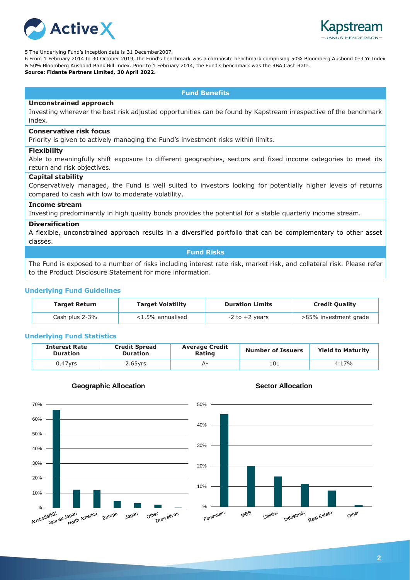



5 The Underlying Fund's inception date is 31 December2007.

6 From 1 February 2014 to 30 October 2019, the Fund's benchmark was a composite benchmark comprising 50% Bloomberg Ausbond 0-3 Yr Index & 50% Bloomberg Ausbond Bank Bill Index. Prior to 1 February 2014, the Fund's benchmark was the RBA Cash Rate. **Source: Fidante Partners Limited, 30 April 2022.**

#### **Fund Benefits**

#### **Unconstrained approach**

Investing wherever the best risk adjusted opportunities can be found by Kapstream irrespective of the benchmark index.

#### **Conservative risk focus**

Priority is given to actively managing the Fund's investment risks within limits.

#### **Flexibility**

Able to meaningfully shift exposure to different geographies, sectors and fixed income categories to meet its return and risk objectives.

#### **Capital stability**

Conservatively managed, the Fund is well suited to investors looking for potentially higher levels of returns compared to cash with low to moderate volatility.

#### **Income stream**

Investing predominantly in high quality bonds provides the potential for a stable quarterly income stream.

#### **Diversification**

A flexible, unconstrained approach results in a diversified portfolio that can be complementary to other asset classes.

#### **Fund Risks**

The Fund is exposed to a number of risks including interest rate risk, market risk, and collateral risk. Please refer to the Product Disclosure Statement for more information.

#### **Underlying Fund Guidelines**

| <b>Target Return</b> | <b>Target Volatility</b> | <b>Duration Limits</b> | <b>Credit Quality</b> |
|----------------------|--------------------------|------------------------|-----------------------|
| Cash plus 2-3%       | $<$ 1.5% annualised      | $-2$ to $+2$ years     | >85% investment grade |

#### **Underlying Fund Statistics**

| <b>Interest Rate</b><br><b>Duration</b> | <b>Credit Spread</b><br><b>Duration</b> | <b>Average Credit</b><br>Rating | <b>Number of Issuers</b> | <b>Yield to Maturity</b> |
|-----------------------------------------|-----------------------------------------|---------------------------------|--------------------------|--------------------------|
| $0.47$ vrs                              | $2.65$ yrs                              |                                 | 101                      | 4.17%                    |



#### **Geographic Allocation**



#### **Sector Allocation**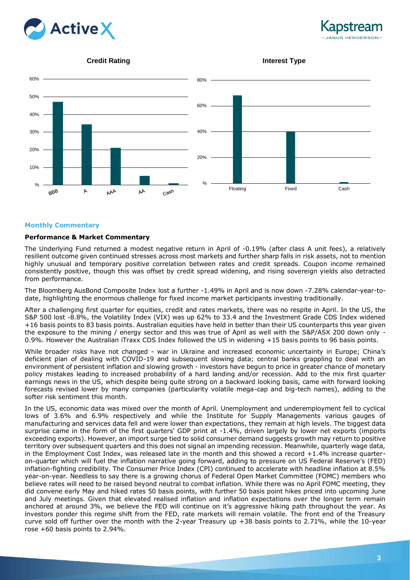



#### **Credit Rating**





#### **Monthly Commentary**

#### **Performance & Market Commentary**

The Underlying Fund returned a modest negative return in April of -0.19% (after class A unit fees), a relatively resilient outcome given continued stresses across most markets and further sharp falls in risk assets, not to mention highly unusual and temporary positive correlation between rates and credit spreads. Coupon income remained consistently positive, though this was offset by credit spread widening, and rising sovereign yields also detracted from performance.

The Bloomberg AusBond Composite Index lost a further -1.49% in April and is now down -7.28% calendar-year-todate, highlighting the enormous challenge for fixed income market participants investing traditionally.

After a challenging first quarter for equities, credit and rates markets, there was no respite in April. In the US, the S&P 500 lost -8.8%, the Volatility Index (VIX) was up 62% to 33.4 and the Investment Grade CDS Index widened +16 basis points to 83 basis points. Australian equities have held in better than their US counterparts this year given the exposure to the mining / energy sector and this was true of April as well with the S&P/ASX 200 down only - 0.9%. However the Australian iTraxx CDS Index followed the US in widening +15 basis points to 96 basis points.

While broader risks have not changed - war in Ukraine and increased economic uncertainty in Europe; China's deficient plan of dealing with COVID-19 and subsequent slowing data; central banks grappling to deal with an environment of persistent inflation and slowing growth - investors have begun to price in greater chance of monetary policy mistakes leading to increased probability of a hard landing and/or recession. Add to the mix first quarter earnings news in the US, which despite being quite strong on a backward looking basis, came with forward looking forecasts revised lower by many companies (particularity volatile mega-cap and big-tech names), adding to the softer risk sentiment this month.

In the US, economic data was mixed over the month of April. Unemployment and underemployment fell to cyclical lows of 3.6% and 6.9% respectively and while the Institute for Supply Managements various gauges of manufacturing and services data fell and were lower than expectations, they remain at high levels. The biggest data surprise came in the form of the first quarters' GDP print at -1.4%, driven largely by lower net exports (imports exceeding exports). However, an import surge tied to solid consumer demand suggests growth may return to positive territory over subsequent quarters and this does not signal an impending recession. Meanwhile, quarterly wage data, in the Employment Cost Index, was released late in the month and this showed a record +1.4% increase quarteron-quarter which will fuel the inflation narrative going forward, adding to pressure on US Federal Reserve's (FED) inflation-fighting credibility. The Consumer Price Index (CPI) continued to accelerate with headline inflation at 8.5% year-on-year. Needless to say there is a growing chorus of Federal Open Market Committee (FOMC) members who believe rates will need to be raised beyond neutral to combat inflation. While there was no April FOMC meeting, they did convene early May and hiked rates 50 basis points, with further 50 basis point hikes priced into upcoming June and July meetings. Given that elevated realised inflation and inflation expectations over the longer term remain anchored at around 3%, we believe the FED will continue on it's aggressive hiking path throughout the year. As investors ponder this regime shift from the FED, rate markets will remain volatile. The front end of the Treasury curve sold off further over the month with the 2-year Treasury up +38 basis points to 2.71%, while the 10-year rose +60 basis points to 2.94%.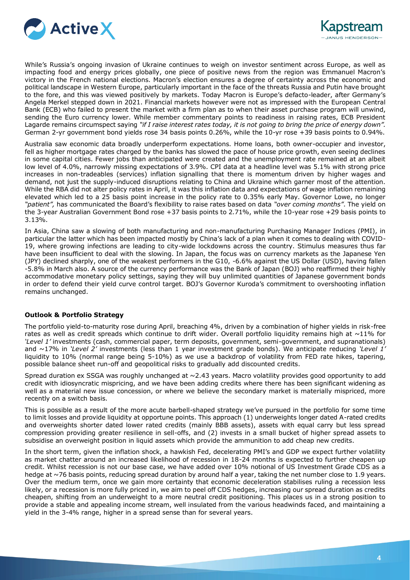

While's Russia's ongoing invasion of Ukraine continues to weigh on investor sentiment across Europe, as well as impacting food and energy prices globally, one piece of positive news from the region was Emmanuel Macron's victory in the French national elections. Macron's election ensures a degree of certainty across the economic and political landscape in Western Europe, particularly important in the face of the threats Russia and Putin have brought to the fore, and this was viewed positively by markets. Today Macron is Europe's defacto-leader, after Germany's Angela Merkel stepped down in 2021. Financial markets however were not as impressed with the European Central Bank (ECB) who failed to present the market with a firm plan as to when their asset purchase program will unwind, sending the Euro currency lower. While member commentary points to readiness in raising rates, ECB President Lagarde remains circumspect saying *"if I raise interest rates today, it is not going to bring the price of energy down".*  German 2-yr government bond yields rose 34 basis points 0.26%, while the 10-yr rose +39 basis points to 0.94%.

Australia saw economic data broadly underperform expectations. Home loans, both owner-occupier and investor, fell as higher mortgage rates charged by the banks has slowed the pace of house price growth, even seeing declines in some capital cities. Fewer jobs than anticipated were created and the unemployment rate remained at an albeit low level of 4.0%, narrowly missing expectations of 3.9%. CPI data at a headline level was 5.1% with strong price increases in non-tradeables (services) inflation signalling that there is momentum driven by higher wages and demand, not just the supply-induced disruptions relating to China and Ukraine which garner most of the attention. While the RBA did not alter policy rates in April, it was this inflation data and expectations of wage inflation remaining elevated which led to a 25 basis point increase in the policy rate to 0.35% early May. Governor Lowe, no longer *"patient",* has communicated the Board's flexibility to raise rates based on data *"over coming months"*. The yield on the 3-year Australian Government Bond rose +37 basis points to 2.71%, while the 10-year rose +29 basis points to 3.13%.

In Asia, China saw a slowing of both manufacturing and non-manufacturing Purchasing Manager Indices (PMI), in particular the latter which has been impacted mostly by China's lack of a plan when it comes to dealing with COVID-19, where growing infections are leading to city-wide lockdowns across the country. Stimulus measures thus far have been insufficient to deal with the slowing. In Japan, the focus was on currency markets as the Japanese Yen (JPY) declined sharply, one of the weakest performers in the G10, -6.6% against the US Dollar (USD), having fallen -5.8% in March also. A source of the currency performance was the Bank of Japan (BOJ) who reaffirmed their highly accommodative monetary policy settings, saying they will buy unlimited quantities of Japanese government bonds in order to defend their yield curve control target. BOJ's Governor Kuroda's commitment to overshooting inflation remains unchanged.

#### **Outlook & Portfolio Strategy**

The portfolio yield-to-maturity rose during April, breaching 4%, driven by a combination of higher yields in risk-free rates as well as credit spreads which continue to drift wider. Overall portfolio liquidity remains high at  $\sim$ 11% for *'Level 1'* investments (cash, commercial paper, term deposits, government, semi-government, and supranationals) and ~17% in *'Level 2'* investments (less than 1 year investment grade bonds). We anticipate reducing *'Level 1'* liquidity to 10% (normal range being 5-10%) as we use a backdrop of volatility from FED rate hikes, tapering, possible balance sheet run-off and geopolitical risks to gradually add discounted credits.

Spread duration ex SSGA was roughly unchanged at  $\sim$  2.43 years. Macro volatility provides good opportunity to add credit with idiosyncratic mispricing, and we have been adding credits where there has been significant widening as well as a material new issue concession, or where we believe the secondary market is materially mispriced, more recently on a switch basis.

This is possible as a result of the more acute barbell-shaped strategy we've pursued in the portfolio for some time to limit losses and provide liquidity at opportune points. This approach (1) underweights longer dated A-rated credits and overweights shorter dated lower rated credits (mainly BBB assets), assets with equal carry but less spread compression providing greater resilience in sell-offs, and (2) invests in a small bucket of higher spread assets to subsidise an overweight position in liquid assets which provide the ammunition to add cheap new credits.

In the short term, given the inflation shock, a hawkish Fed, decelerating PMI's and GDP we expect further volatility as market chatter around an increased likelihood of recession in 18-24 months is expected to further cheapen up credit. Whilst recession is not our base case, we have added over 10% notional of US Investment Grade CDS as a hedge at ~76 basis points, reducing spread duration by around half a year, taking the net number close to 1.9 years. Over the medium term, once we gain more certainty that economic deceleration stabilises ruling a recession less likely, or a recession is more fully priced in, we aim to peel off CDS hedges, increasing our spread duration as credits cheapen, shifting from an underweight to a more neutral credit positioning. This places us in a strong position to provide a stable and appealing income stream, well insulated from the various headwinds faced, and maintaining a yield in the 3-4% range, higher in a spread sense than for several years.